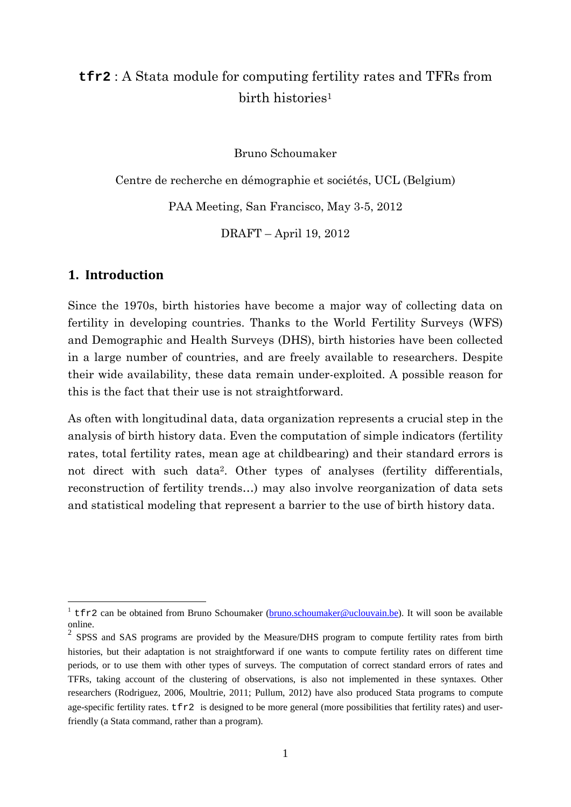# **tfr2** : A Stata module for computing fertility rates and TFRs from birth histories<sup>1</sup>

Bruno Schoumaker

Centre de recherche en démographie et sociétés, UCL (Belgium)

PAA Meeting, San Francisco, May 3-5, 2012

DRAFT – April 19, 2012

#### **1. Introduction**

1

Since the 1970s, birth histories have become a major way of collecting data on fertility in developing countries. Thanks to the World Fertility Surveys (WFS) and Demographic and Health Surveys (DHS), birth histories have been collected in a large number of countries, and are freely available to researchers. Despite their wide availability, these data remain under-exploited. A possible reason for this is the fact that their use is not straightforward.

As often with longitudinal data, data organization represents a crucial step in the analysis of birth history data. Even the computation of simple indicators (fertility rates, total fertility rates, mean age at childbearing) and their standard errors is not direct with such data2. Other types of analyses (fertility differentials, reconstruction of fertility trends…) may also involve reorganization of data sets and statistical modeling that represent a barrier to the use of birth history data.

<sup>&</sup>lt;sup>1</sup> tfr2 can be obtained from Bruno Schoumaker (bruno.schoumaker@uclouvain.be). It will soon be available online.

 $2$  SPSS and SAS programs are provided by the Measure/DHS program to compute fertility rates from birth histories, but their adaptation is not straightforward if one wants to compute fertility rates on different time periods, or to use them with other types of surveys. The computation of correct standard errors of rates and TFRs, taking account of the clustering of observations, is also not implemented in these syntaxes. Other researchers (Rodriguez, 2006, Moultrie, 2011; Pullum, 2012) have also produced Stata programs to compute age-specific fertility rates.  $\text{tfr2}$  is designed to be more general (more possibilities that fertility rates) and userfriendly (a Stata command, rather than a program).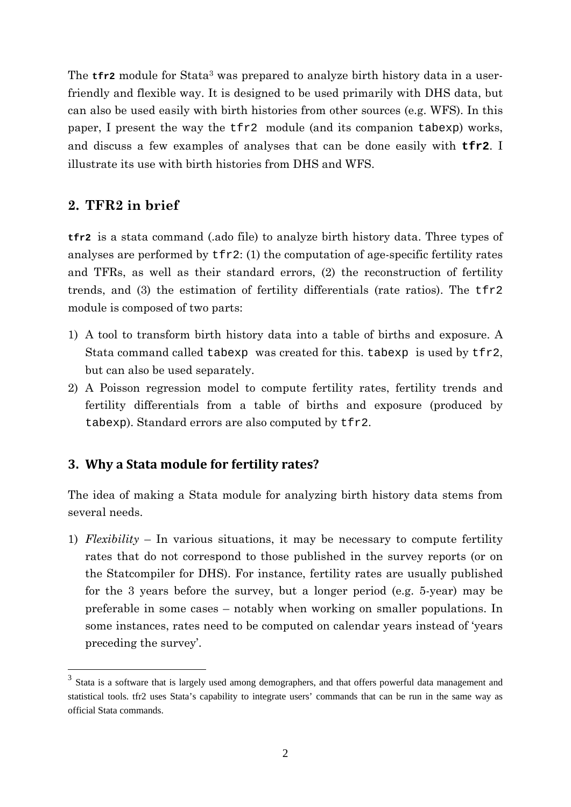The **tfr2** module for Stata<sup>3</sup> was prepared to analyze birth history data in a userfriendly and flexible way. It is designed to be used primarily with DHS data, but can also be used easily with birth histories from other sources (e.g. WFS). In this paper, I present the way the tfr2 module (and its companion tabexp) works, and discuss a few examples of analyses that can be done easily with **tfr2**. I illustrate its use with birth histories from DHS and WFS.

### **2. TFR2 in brief**

<u>.</u>

**tfr2** is a stata command (.ado file) to analyze birth history data. Three types of analyses are performed by  $\text{tr}2$ : (1) the computation of age-specific fertility rates and TFRs, as well as their standard errors, (2) the reconstruction of fertility trends, and (3) the estimation of fertility differentials (rate ratios). The tfr2 module is composed of two parts:

- 1) A tool to transform birth history data into a table of births and exposure. A Stata command called tabexp was created for this. tabexp is used by tfr2, but can also be used separately.
- 2) A Poisson regression model to compute fertility rates, fertility trends and fertility differentials from a table of births and exposure (produced by tabexp). Standard errors are also computed by tfr2.

#### **3. Why a Stata module for fertility rates?**

The idea of making a Stata module for analyzing birth history data stems from several needs.

1) *Flexibility* – In various situations, it may be necessary to compute fertility rates that do not correspond to those published in the survey reports (or on the Statcompiler for DHS). For instance, fertility rates are usually published for the 3 years before the survey, but a longer period (e.g. 5-year) may be preferable in some cases – notably when working on smaller populations. In some instances, rates need to be computed on calendar years instead of 'years preceding the survey'.

<sup>3</sup> Stata is a software that is largely used among demographers, and that offers powerful data management and statistical tools. tfr2 uses Stata's capability to integrate users' commands that can be run in the same way as official Stata commands.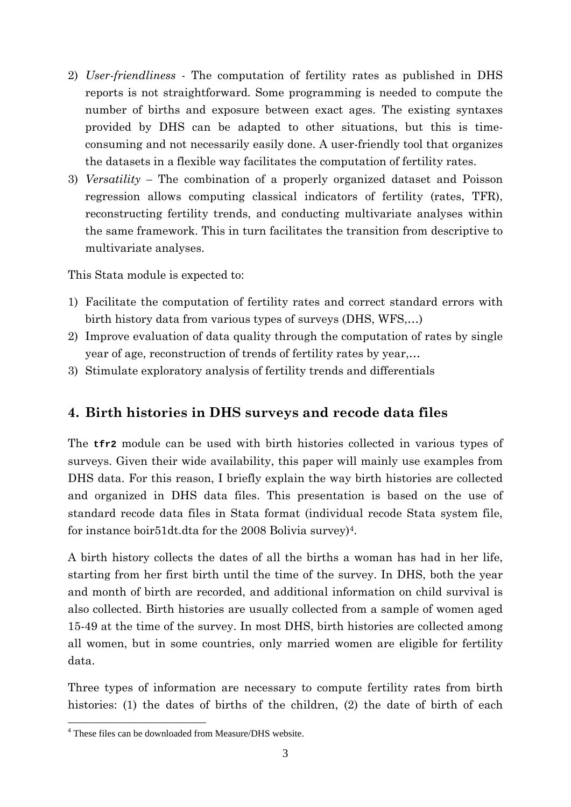- 2) *User-friendliness* The computation of fertility rates as published in DHS reports is not straightforward. Some programming is needed to compute the number of births and exposure between exact ages. The existing syntaxes provided by DHS can be adapted to other situations, but this is timeconsuming and not necessarily easily done. A user-friendly tool that organizes the datasets in a flexible way facilitates the computation of fertility rates.
- 3) *Versatility –* The combination of a properly organized dataset and Poisson regression allows computing classical indicators of fertility (rates, TFR), reconstructing fertility trends, and conducting multivariate analyses within the same framework. This in turn facilitates the transition from descriptive to multivariate analyses.

This Stata module is expected to:

- 1) Facilitate the computation of fertility rates and correct standard errors with birth history data from various types of surveys (DHS, WFS,…)
- 2) Improve evaluation of data quality through the computation of rates by single year of age, reconstruction of trends of fertility rates by year,…
- 3) Stimulate exploratory analysis of fertility trends and differentials

# **4. Birth histories in DHS surveys and recode data files**

The **tfr2** module can be used with birth histories collected in various types of surveys. Given their wide availability, this paper will mainly use examples from DHS data. For this reason, I briefly explain the way birth histories are collected and organized in DHS data files. This presentation is based on the use of standard recode data files in Stata format (individual recode Stata system file, for instance boir51dt.dta for the 2008 Bolivia survey)4.

A birth history collects the dates of all the births a woman has had in her life, starting from her first birth until the time of the survey. In DHS, both the year and month of birth are recorded, and additional information on child survival is also collected. Birth histories are usually collected from a sample of women aged 15-49 at the time of the survey. In most DHS, birth histories are collected among all women, but in some countries, only married women are eligible for fertility data.

Three types of information are necessary to compute fertility rates from birth histories: (1) the dates of births of the children, (2) the date of birth of each

 4 These files can be downloaded from Measure/DHS website.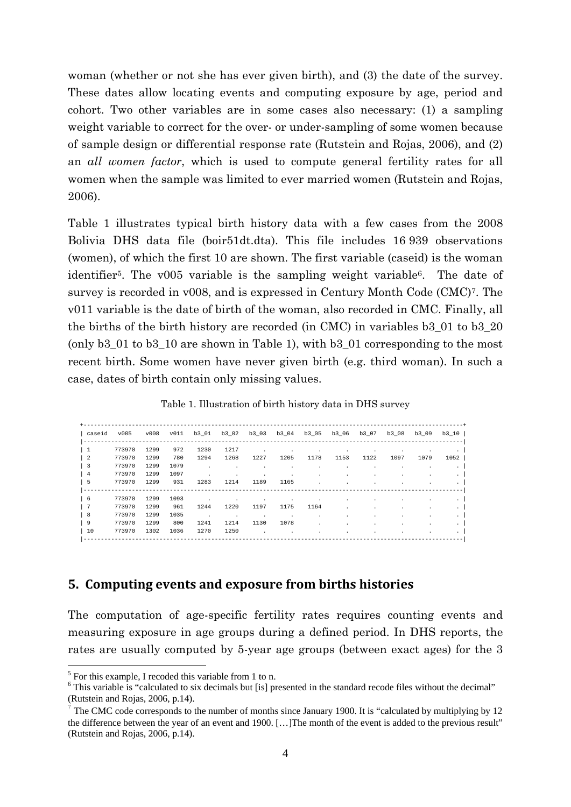woman (whether or not she has ever given birth), and (3) the date of the survey. These dates allow locating events and computing exposure by age, period and cohort. Two other variables are in some cases also necessary: (1) a sampling weight variable to correct for the over- or under-sampling of some women because of sample design or differential response rate (Rutstein and Rojas, 2006), and (2) an *all women factor*, which is used to compute general fertility rates for all women when the sample was limited to ever married women (Rutstein and Rojas, 2006).

Table 1 illustrates typical birth history data with a few cases from the 2008 Bolivia DHS data file (boir51dt.dta). This file includes 16 939 observations (women), of which the first 10 are shown. The first variable (caseid) is the woman identifier<sup>5</sup>. The v005 variable is the sampling weight variable<sup>6</sup>. The date of survey is recorded in v008, and is expressed in Century Month Code (CMC)7. The v011 variable is the date of birth of the woman, also recorded in CMC. Finally, all the births of the birth history are recorded (in CMC) in variables b3\_01 to b3\_20 (only b3\_01 to b3\_10 are shown in Table 1), with b3\_01 corresponding to the most recent birth. Some women have never given birth (e.g. third woman). In such a case, dates of birth contain only missing values.

Table 1. Illustration of birth history data in DHS survey

| caseid                  | v005   | V008 | v011 | b3 01                |                      | b3 02 b3 03          |         | b3 04 b3 05 b3 06 |                          | b3 07   | b3 08                    | b3 09                | b3 10   |
|-------------------------|--------|------|------|----------------------|----------------------|----------------------|---------|-------------------|--------------------------|---------|--------------------------|----------------------|---------|
|                         |        |      |      |                      |                      |                      |         |                   |                          |         | ------------------------ |                      |         |
| $\overline{1}$          | 773970 | 1299 | 972  | 1230                 | 1217                 | $\ddot{\phantom{a}}$ | $\cdot$ | $\cdot$           | $\overline{\phantom{a}}$ |         |                          | $\cdot$              | $\cdot$ |
| -2                      | 773970 | 1299 | 780  | 1294                 | 1268                 | 1227                 | 1205    | 1178              | 1153                     | 1122    | 1097                     | 1079                 | 1052    |
| $\overline{\mathbf{3}}$ | 773970 | 1299 | 1079 | $\sim 100$           | $\mathbf{r}$         |                      | $\cdot$ | $\cdot$           | $\cdot$                  | $\cdot$ | $\cdot$                  | $\cdot$              |         |
| $\overline{4}$          | 773970 | 1299 | 1097 | $\sim$               | $\ddot{\phantom{0}}$ | $\cdot$              | $\cdot$ | $\cdot$           |                          |         |                          |                      |         |
| - 5                     | 773970 | 1299 | 931  | 1283                 | 1214                 | 1189                 | 1165    | $\cdot$           |                          |         |                          | $\ddot{\phantom{a}}$ |         |
| -6                      | 773970 | 1299 | 1093 | $\ddot{\phantom{a}}$ | $\mathbf{r}$         |                      | $\cdot$ | $\cdot$           |                          |         |                          |                      |         |
| 7                       | 773970 | 1299 | 961  | 1244                 | 1220                 | 1197                 | 1175    | 1164              |                          |         |                          |                      |         |
| - 8                     | 773970 | 1299 | 1035 | $\sim$               | $\cdot$              | $\cdot$              | $\sim$  | $\cdot$           |                          |         |                          | $\cdot$              |         |
| 9                       | 773970 | 1299 | 800  | 1241                 | 1214                 | 1130                 | 1078    | $\cdot$           |                          |         |                          |                      |         |
| 10                      | 773970 | 1302 | 1036 | 1270                 | 1250                 | $\sim$               | $\cdot$ | $\cdot$           |                          |         |                          | $\cdot$              |         |

#### **5. Computing events and exposure from births histories**

The computation of age-specific fertility rates requires counting events and measuring exposure in age groups during a defined period. In DHS reports, the rates are usually computed by 5-year age groups (between exact ages) for the 3

<sup>&</sup>lt;sup>5</sup> For this example, I recoded this variable from 1 to n.

<sup>&</sup>lt;sup>6</sup> This variable is "calculated to six decimals but [is] presented in the standard recode files without the decimal" (Rutstein and Rojas, 2006, p.14).

<sup>&</sup>lt;sup>7</sup> The CMC code corresponds to the number of months since January 1900. It is "calculated by multiplying by 12 the difference between the year of an event and 1900. […]The month of the event is added to the previous result" (Rutstein and Rojas, 2006, p.14).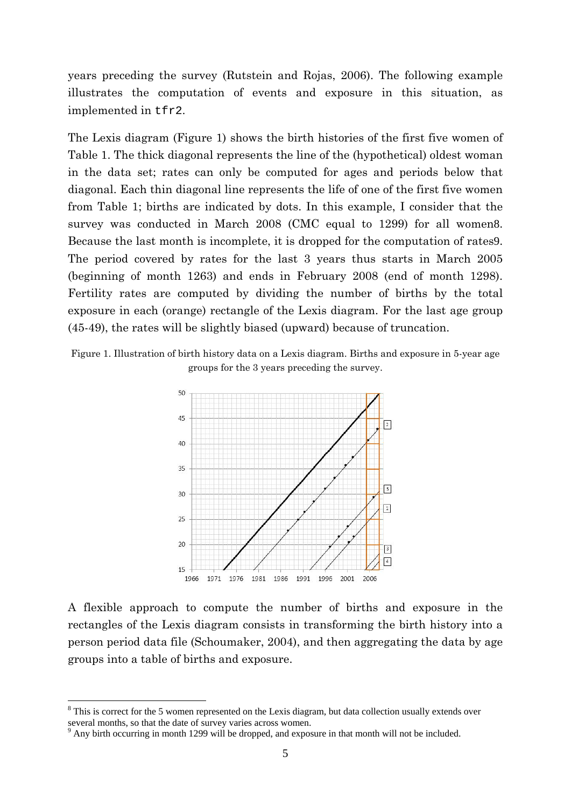years preceding the survey (Rutstein and Rojas, 2006). The following example illustrates the computation of events and exposure in this situation, as implemented in tfr2.

The Lexis diagram (Figure 1) shows the birth histories of the first five women of Table 1. The thick diagonal represents the line of the (hypothetical) oldest woman in the data set; rates can only be computed for ages and periods below that diagonal. Each thin diagonal line represents the life of one of the first five women from Table 1; births are indicated by dots. In this example, I consider that the survey was conducted in March 2008 (CMC equal to 1299) for all women8. Because the last month is incomplete, it is dropped for the computation of rates9. The period covered by rates for the last 3 years thus starts in March 2005 (beginning of month 1263) and ends in February 2008 (end of month 1298). Fertility rates are computed by dividing the number of births by the total exposure in each (orange) rectangle of the Lexis diagram. For the last age group (45-49), the rates will be slightly biased (upward) because of truncation.

Figure 1. Illustration of birth history data on a Lexis diagram. Births and exposure in 5-year age groups for the 3 years preceding the survey.



A flexible approach to compute the number of births and exposure in the rectangles of the Lexis diagram consists in transforming the birth history into a person period data file (Schoumaker, 2004), and then aggregating the data by age groups into a table of births and exposure.

<sup>&</sup>lt;sup>8</sup> This is correct for the 5 women represented on the Lexis diagram, but data collection usually extends over several months, so that the date of survey varies across women.

<sup>&</sup>lt;sup>9</sup> Any birth occurring in month 1299 will be dropped, and exposure in that month will not be included.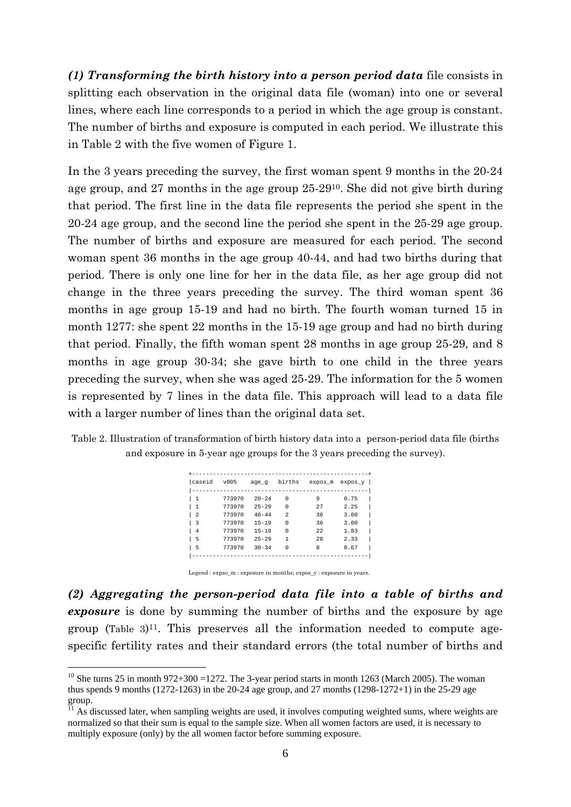*(1) Transforming the birth history into a person period data* file consists in splitting each observation in the original data file (woman) into one or several lines, where each line corresponds to a period in which the age group is constant. The number of births and exposure is computed in each period. We illustrate this in Table 2 with the five women of Figure 1.

In the 3 years preceding the survey, the first woman spent 9 months in the 20-24 age group, and 27 months in the age group 25-2910. She did not give birth during that period. The first line in the data file represents the period she spent in the 20-24 age group, and the second line the period she spent in the 25-29 age group. The number of births and exposure are measured for each period. The second woman spent 36 months in the age group 40-44, and had two births during that period. There is only one line for her in the data file, as her age group did not change in the three years preceding the survey. The third woman spent 36 months in age group 15-19 and had no birth. The fourth woman turned 15 in month 1277: she spent 22 months in the 15-19 age group and had no birth during that period. Finally, the fifth woman spent 28 months in age group 25-29, and 8 months in age group 30-34; she gave birth to one child in the three years preceding the survey, when she was aged 25-29. The information for the 5 women is represented by 7 lines in the data file. This approach will lead to a data file with a larger number of lines than the original data set.

Table 2. Illustration of transformation of birth history data into a person-period data file (births and exposure in 5-year age groups for the 3 years preceding the survey).

| caseid                   | v005   | age q     | births         | expos m | expos y |
|--------------------------|--------|-----------|----------------|---------|---------|
| 1                        | 773970 | $20 - 24$ | 0              | 9       | 0.75    |
| 1                        | 773970 | $25 - 29$ | $\Omega$       | 27      | 2.25    |
| $\overline{\mathcal{L}}$ | 773970 | $40 - 44$ | $\mathfrak{D}$ | 36      | 3.00    |
| 3                        | 773970 | $15 - 19$ | O              | 36      | 3.00    |
| 4                        | 773970 | $15 - 19$ | $\Omega$       | 2.2     | 1.83    |
| 5                        | 773970 | $25 - 29$ | 1              | 28      | 2.33    |
| 5                        | 773970 | $30 - 34$ | O              | 8       | 0.67    |
|                          |        |           |                |         |         |

Legend : expso\_m : exposure in months; expos\_y : exposure in years.

*(2) Aggregating the person-period data file into a table of births and exposure* is done by summing the number of births and the exposure by age group (Table  $3$ )<sup>11</sup>. This preserves all the information needed to compute agespecific fertility rates and their standard errors (the total number of births and

 $10$  She turns 25 in month 972+300 =1272. The 3-year period starts in month 1263 (March 2005). The woman thus spends 9 months (1272-1263) in the 20-24 age group, and 27 months (1298-1272+1) in the 25-29 age group.

 $11$  As discussed later, when sampling weights are used, it involves computing weighted sums, where weights are normalized so that their sum is equal to the sample size. When all women factors are used, it is necessary to multiply exposure (only) by the all women factor before summing exposure.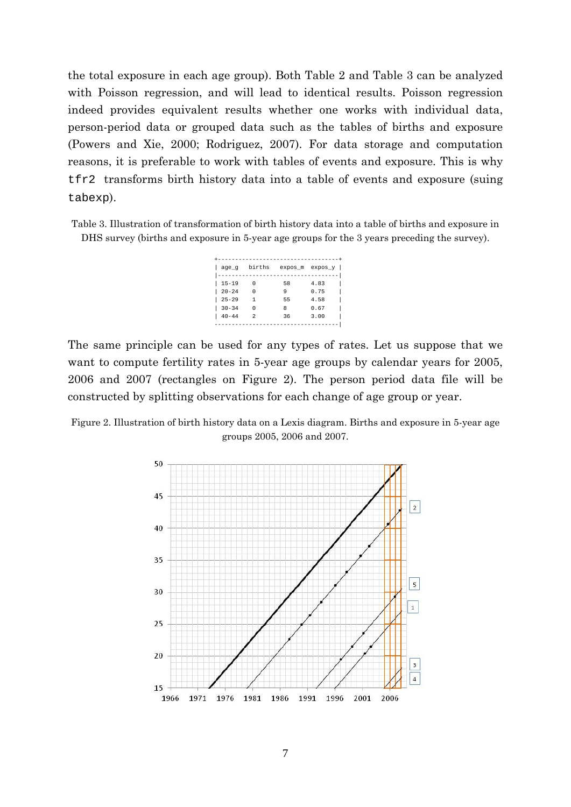the total exposure in each age group). Both Table 2 and Table 3 can be analyzed with Poisson regression, and will lead to identical results. Poisson regression indeed provides equivalent results whether one works with individual data, person-period data or grouped data such as the tables of births and exposure (Powers and Xie, 2000; Rodriguez, 2007). For data storage and computation reasons, it is preferable to work with tables of events and exposure. This is why tfr2 transforms birth history data into a table of events and exposure (suing tabexp).

Table 3. Illustration of transformation of birth history data into a table of births and exposure in DHS survey (births and exposure in 5-year age groups for the 3 years preceding the survey).

| age g     | births | expos_m expos_y |      |
|-----------|--------|-----------------|------|
|           |        |                 |      |
| $15 - 19$ |        | 58              | 4.83 |
| $20 - 24$ | Λ      | q               | 0.75 |
| $25 - 29$ | 1      | 55              | 4.58 |
| $30 - 34$ | Λ      | я               | 0.67 |
| $40 - 44$ | 2      | 36              | 3.00 |
|           |        |                 |      |

The same principle can be used for any types of rates. Let us suppose that we want to compute fertility rates in 5-year age groups by calendar years for 2005, 2006 and 2007 (rectangles on Figure 2). The person period data file will be constructed by splitting observations for each change of age group or year.

Figure 2. Illustration of birth history data on a Lexis diagram. Births and exposure in 5-year age groups 2005, 2006 and 2007.

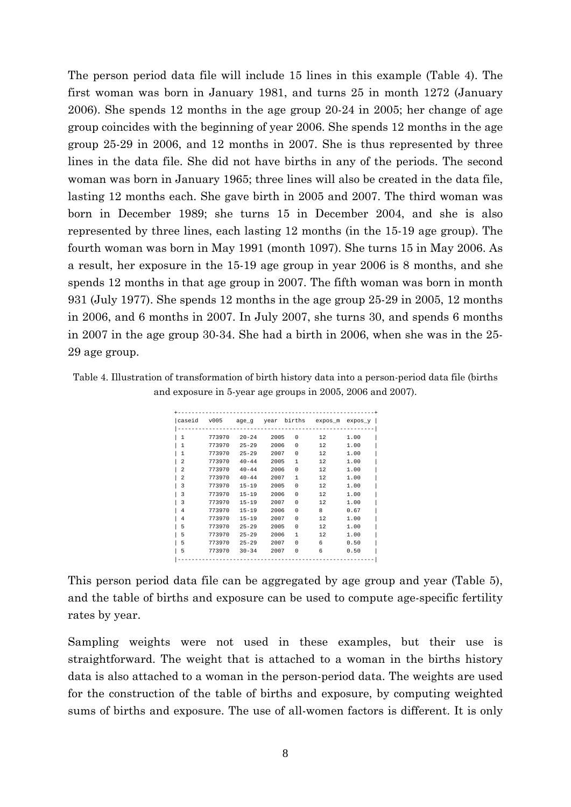The person period data file will include 15 lines in this example (Table 4). The first woman was born in January 1981, and turns 25 in month 1272 (January 2006). She spends 12 months in the age group 20-24 in 2005; her change of age group coincides with the beginning of year 2006. She spends 12 months in the age group 25-29 in 2006, and 12 months in 2007. She is thus represented by three lines in the data file. She did not have births in any of the periods. The second woman was born in January 1965; three lines will also be created in the data file, lasting 12 months each. She gave birth in 2005 and 2007. The third woman was born in December 1989; she turns 15 in December 2004, and she is also represented by three lines, each lasting 12 months (in the 15-19 age group). The fourth woman was born in May 1991 (month 1097). She turns 15 in May 2006. As a result, her exposure in the 15-19 age group in year 2006 is 8 months, and she spends 12 months in that age group in 2007. The fifth woman was born in month 931 (July 1977). She spends 12 months in the age group 25-29 in 2005, 12 months in 2006, and 6 months in 2007. In July 2007, she turns 30, and spends 6 months in 2007 in the age group 30-34. She had a birth in 2006, when she was in the 25- 29 age group.

Table 4. Illustration of transformation of birth history data into a person-period data file (births and exposure in 5-year age groups in 2005, 2006 and 2007).

| lcaseid        |        | v005 age_g year |      | births   |     | $expos$ m $expos$ y $ $ |
|----------------|--------|-----------------|------|----------|-----|-------------------------|
| l 1            | 773970 | $20 - 24$       | 2005 | $\Omega$ | 12. | 1.00                    |
| 1              | 773970 | $25 - 29$       | 2006 | 0        | 12  | 1.00                    |
| 1              | 773970 | $25 - 29$       | 2007 | 0        | 12  | 1.00                    |
| $\overline{2}$ | 773970 | $40 - 44$       | 2005 | 1        | 12. | 1.00                    |
| $\overline{2}$ | 773970 | $40 - 44$       | 2006 | 0        | 12  | 1.00                    |
| $\overline{2}$ | 773970 | $40 - 44$       | 2007 | 1        | 12  | 1.00                    |
| 3              | 773970 | $15 - 19$       | 2005 | 0        | 12  | 1.00                    |
| 3              | 773970 | $15 - 19$       | 2006 | $\Omega$ | 12  | 1.00                    |
| 3              | 773970 | $15 - 19$       | 2007 | 0        | 12  | 1.00                    |
| 4              | 773970 | $15 - 19$       | 2006 | 0        | 8   | 0.67                    |
| 4              | 773970 | $15 - 19$       | 2007 | 0        | 12  | 1.00                    |
| 5              | 773970 | $25 - 29$       | 2005 | 0        | 12  | 1.00                    |
| 5              | 773970 | $25 - 29$       | 2006 | 1        | 12  | 1.00                    |
| 5              | 773970 | $25 - 29$       | 2007 | 0        | 6   | 0.50                    |
| 5              | 773970 | $30 - 34$       | 2007 | 0        | 6   | 0.50                    |
|                |        |                 |      |          |     |                         |

This person period data file can be aggregated by age group and year (Table 5), and the table of births and exposure can be used to compute age-specific fertility rates by year.

Sampling weights were not used in these examples, but their use is straightforward. The weight that is attached to a woman in the births history data is also attached to a woman in the person-period data. The weights are used for the construction of the table of births and exposure, by computing weighted sums of births and exposure. The use of all-women factors is different. It is only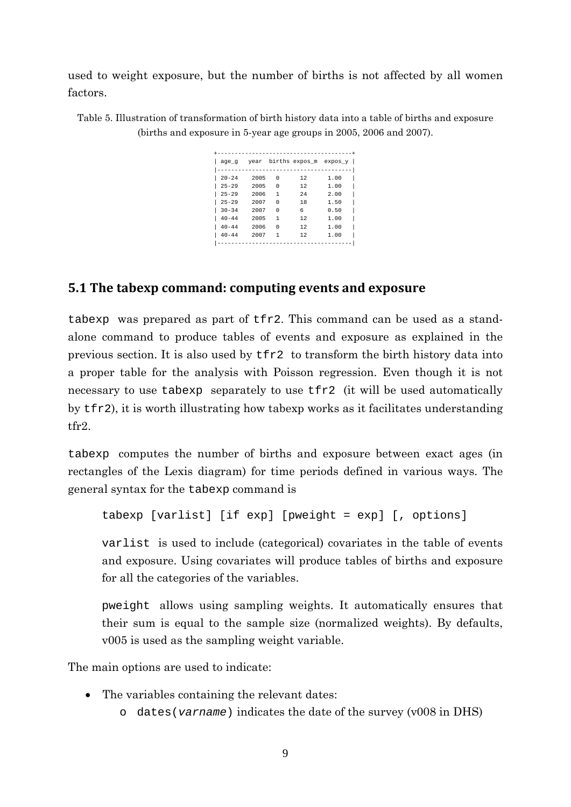used to weight exposure, but the number of births is not affected by all women factors.

Table 5. Illustration of transformation of birth history data into a table of births and exposure (births and exposure in 5-year age groups in 2005, 2006 and 2007).

| age g     |      |   | year births expos_m expos_y |      |
|-----------|------|---|-----------------------------|------|
| $20 - 24$ | 2005 | U | 12                          | 1.00 |
| $25 - 29$ | 2005 | U | 12                          | 1.00 |
| $25 - 29$ | 2006 | 1 | 2.4                         | 2.00 |
| $25 - 29$ | 2007 | U | 18                          | 1.50 |
| $30 - 34$ | 2007 | Λ | ĥ                           | 0.50 |
| $40 - 44$ | 2005 | 1 | 12.                         | 1.00 |
| $40 - 44$ | 2006 | Λ | 12.                         | 1.00 |
| $40 - 44$ | 2007 | 1 | 12                          | 1.00 |

## **5.1 The tabexp command: computing events and exposure**

tabexp was prepared as part of tfr2. This command can be used as a standalone command to produce tables of events and exposure as explained in the previous section. It is also used by tfr2 to transform the birth history data into a proper table for the analysis with Poisson regression. Even though it is not necessary to use tabexp separately to use tfr2 (it will be used automatically by tfr2), it is worth illustrating how tabexp works as it facilitates understanding tfr2.

tabexp computes the number of births and exposure between exact ages (in rectangles of the Lexis diagram) for time periods defined in various ways. The general syntax for the tabexp command is

tabexp [varlist] [if exp] [pweight = exp] [, options]

varlist is used to include (categorical) covariates in the table of events and exposure. Using covariates will produce tables of births and exposure for all the categories of the variables.

pweight allows using sampling weights. It automatically ensures that their sum is equal to the sample size (normalized weights). By defaults, v005 is used as the sampling weight variable.

The main options are used to indicate:

- The variables containing the relevant dates:
	- o dates(*varname*) indicates the date of the survey (v008 in DHS)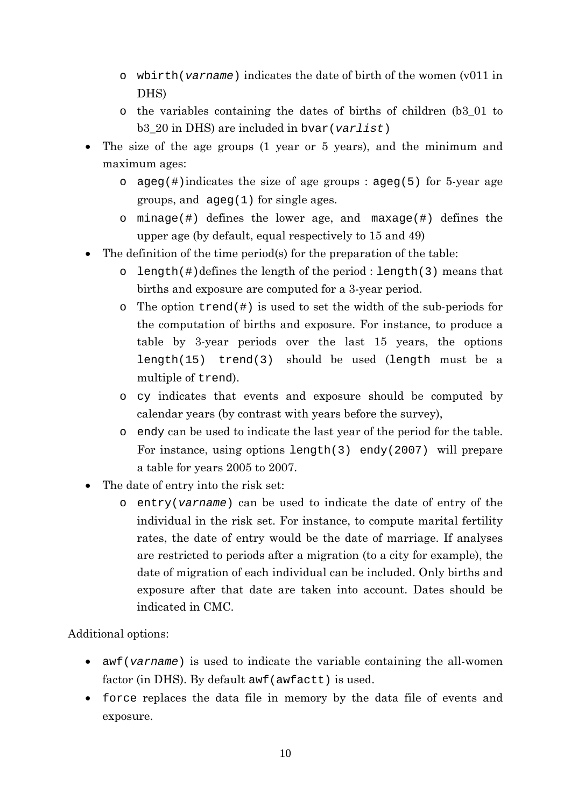- o wbirth(*varname*) indicates the date of birth of the women (v011 in DHS)
- o the variables containing the dates of births of children (b3\_01 to b3\_20 in DHS) are included in bvar(*varlist*)
- The size of the age groups (1 year or 5 years), and the minimum and maximum ages:
	- o ageg(#)indicates the size of age groups : ageg(5) for 5-year age groups, and ageg(1) for single ages.
	- o minage(#) defines the lower age, and maxage(#) defines the upper age (by default, equal respectively to 15 and 49)
- The definition of the time period(s) for the preparation of the table:
	- o length(#)defines the length of the period : length(3) means that births and exposure are computed for a 3-year period.
	- $\circ$  The option trend(#) is used to set the width of the sub-periods for the computation of births and exposure. For instance, to produce a table by 3-year periods over the last 15 years, the options length(15) trend(3) should be used (length must be a multiple of trend).
	- o cy indicates that events and exposure should be computed by calendar years (by contrast with years before the survey),
	- o endy can be used to indicate the last year of the period for the table. For instance, using options length(3) endy(2007) will prepare a table for years 2005 to 2007.
- The date of entry into the risk set:
	- o entry(*varname*) can be used to indicate the date of entry of the individual in the risk set. For instance, to compute marital fertility rates, the date of entry would be the date of marriage. If analyses are restricted to periods after a migration (to a city for example), the date of migration of each individual can be included. Only births and exposure after that date are taken into account. Dates should be indicated in CMC.

## Additional options:

- awf(*varname*) is used to indicate the variable containing the all-women factor (in DHS). By default awf (awfactt) is used.
- force replaces the data file in memory by the data file of events and exposure.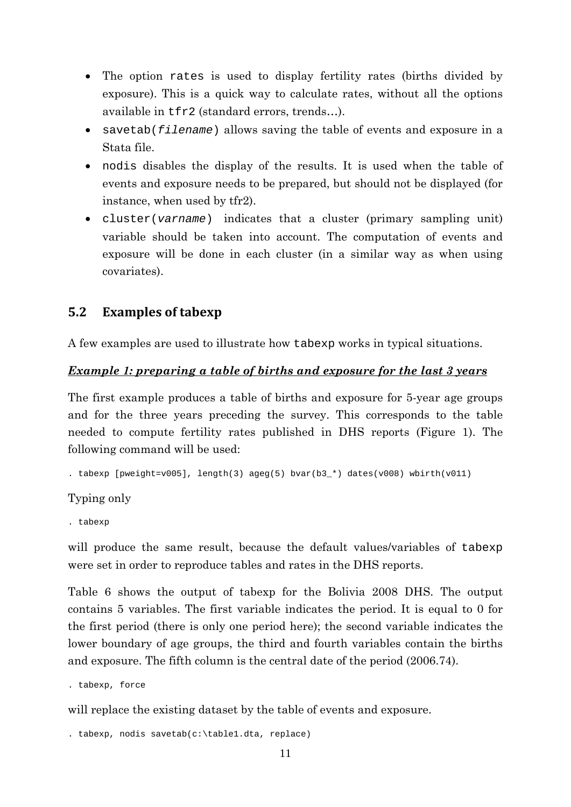- The option rates is used to display fertility rates (births divided by exposure). This is a quick way to calculate rates, without all the options available in tfr2 (standard errors, trends…).
- savetab(*filename*) allows saving the table of events and exposure in a Stata file.
- nodis disables the display of the results. It is used when the table of events and exposure needs to be prepared, but should not be displayed (for instance, when used by tfr2).
- cluster(*varname*) indicates that a cluster (primary sampling unit) variable should be taken into account. The computation of events and exposure will be done in each cluster (in a similar way as when using covariates).

# **5.2 Examples of tabexp**

A few examples are used to illustrate how tabexp works in typical situations.

### *Example 1: preparing a table of births and exposure for the last 3 years*

The first example produces a table of births and exposure for 5-year age groups and for the three years preceding the survey. This corresponds to the table needed to compute fertility rates published in DHS reports (Figure 1). The following command will be used:

. tabexp [pweight=v005], length(3) ageg(5) bvar(b3\_\*) dates(v008) wbirth(v011)

## Typing only

. tabexp

will produce the same result, because the default values/variables of tabexp were set in order to reproduce tables and rates in the DHS reports.

Table 6 shows the output of tabexp for the Bolivia 2008 DHS. The output contains 5 variables. The first variable indicates the period. It is equal to 0 for the first period (there is only one period here); the second variable indicates the lower boundary of age groups, the third and fourth variables contain the births and exposure. The fifth column is the central date of the period (2006.74).

. tabexp, force

will replace the existing dataset by the table of events and exposure.

```
. tabexp, nodis savetab(c:\table1.dta, replace)
```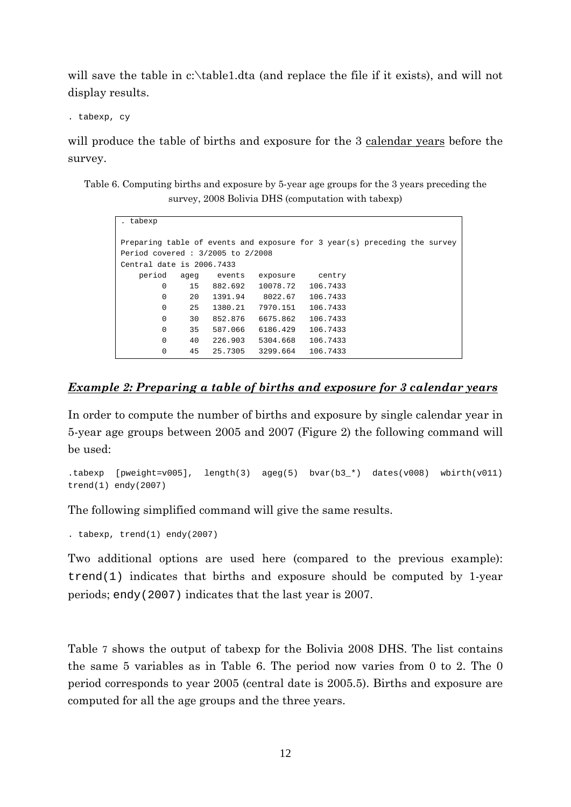will save the table in c:\table1.dta (and replace the file if it exists), and will not display results.

. tabexp, cy

will produce the table of births and exposure for the 3 calendar years before the survey.

Table 6. Computing births and exposure by 5-year age groups for the 3 years preceding the survey, 2008 Bolivia DHS (computation with tabexp)

| . tabexp                                                      |      |         |          |          |                                                                           |  |
|---------------------------------------------------------------|------|---------|----------|----------|---------------------------------------------------------------------------|--|
| Period covered: 3/2005 to 2/2008<br>Central date is 2006.7433 |      |         |          |          | Preparing table of events and exposure for 3 year(s) preceding the survey |  |
| period                                                        |      | events  |          |          |                                                                           |  |
|                                                               | aqeq |         | exposure | centry   |                                                                           |  |
| 0                                                             | 15   | 882.692 | 10078.72 | 106.7433 |                                                                           |  |
| $\Omega$                                                      | 20   | 1391.94 | 8022.67  | 106.7433 |                                                                           |  |
| 0                                                             | 25   | 1380.21 | 7970.151 | 106.7433 |                                                                           |  |
| $\Omega$                                                      | 30   | 852.876 | 6675.862 | 106.7433 |                                                                           |  |
| 0                                                             | 35   | 587.066 | 6186.429 | 106.7433 |                                                                           |  |
| 0                                                             | 40   | 226.903 | 5304.668 | 106.7433 |                                                                           |  |
| 0                                                             | 45   | 25.7305 | 3299.664 | 106.7433 |                                                                           |  |

#### *Example 2: Preparing a table of births and exposure for 3 calendar years*

In order to compute the number of births and exposure by single calendar year in 5-year age groups between 2005 and 2007 (Figure 2) the following command will be used:

.tabexp [pweight=v005], length(3) ageg(5) bvar(b3\_\*) dates(v008) wbirth(v011) trend(1) endy(2007)

The following simplified command will give the same results.

. tabexp, trend(1) endy(2007)

Two additional options are used here (compared to the previous example):  $trend(1)$  indicates that births and exposure should be computed by 1-year periods; endy(2007) indicates that the last year is 2007.

Table 7 shows the output of tabexp for the Bolivia 2008 DHS. The list contains the same 5 variables as in Table 6. The period now varies from 0 to 2. The 0 period corresponds to year 2005 (central date is 2005.5). Births and exposure are computed for all the age groups and the three years.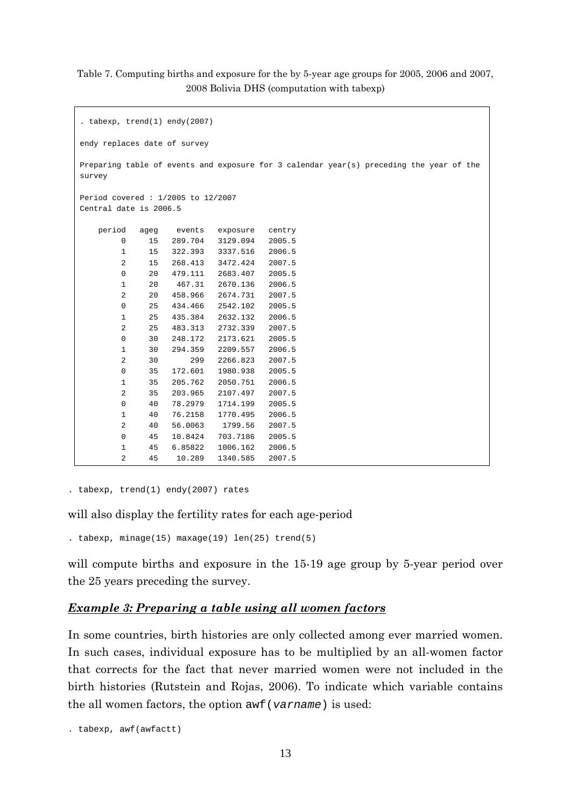#### Table 7. Computing births and exposure for the by 5-year age groups for 2005, 2006 and 2007, 2008 Bolivia DHS (computation with tabexp)

```
. tabexp, trend(1) endy(2007) 
endy replaces date of survey 
Preparing table of events and exposure for 3 calendar year(s) preceding the year of the
survey
Period covered : 1/2005 to 12/2007 
Central date is 2006.5 
    period ageg events exposure centry 
        0 15 289.704 3129.094 2005.5 
        1 15 322.393 3337.516 2006.5 
        2 15 268.413 3472.424 2007.5 
        0 20 479.111 2683.407 2005.5 
        1 20 467.31 2670.136 2006.5 
        2 20 458.966 2674.731 2007.5 
        0 25 434.466 2542.102 2005.5 
        1 25 435.384 2632.132 2006.5 
        2 25 483.313 2732.339 2007.5 
        0 30 248.172 2173.621 2005.5 
        1 30 294.359 2209.557 2006.5 
        2 30 299 2266.823 2007.5 
        0 35 172.601 1980.938 2005.5 
        1 35 205.762 2050.751 2006.5 
        2 35 203.965 2107.497 2007.5 
        0 40 78.2979 1714.199 2005.5 
        1 40 76.2158 1770.495 2006.5 
        2 40 56.0063 1799.56 2007.5 
        0 45 10.8424 703.7186 2005.5 
        1 45 6.85822 1006.162 2006.5 
        2 45 10.289 1340.585 2007.5
```
. tabexp, trend(1) endy(2007) rates

will also display the fertility rates for each age-period

. tabexp, minage(15) maxage(19) len(25) trend(5)

will compute births and exposure in the 15-19 age group by 5-year period over the 25 years preceding the survey.

#### *Example 3: Preparing a table using all women factors*

In some countries, birth histories are only collected among ever married women. In such cases, individual exposure has to be multiplied by an all-women factor that corrects for the fact that never married women were not included in the birth histories (Rutstein and Rojas, 2006). To indicate which variable contains the all women factors, the option awf(*varname*) is used:

. tabexp, awf(awfactt)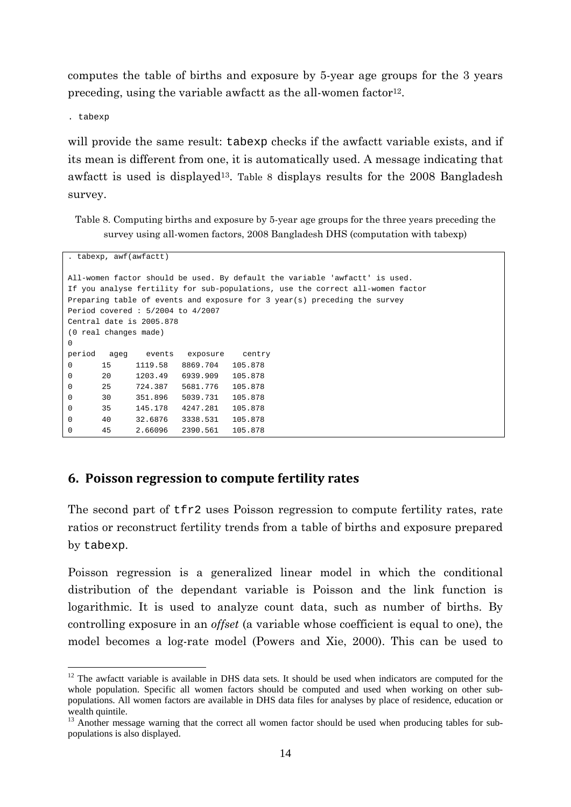computes the table of births and exposure by 5-year age groups for the 3 years preceding, using the variable awfactt as the all-women factor<sup>12</sup>.

. tabexp

1

will provide the same result: tabexp checks if the awfactt variable exists, and if its mean is different from one, it is automatically used. A message indicating that awfactt is used is displayed<sup>13</sup>. Table 8 displays results for the 2008 Bangladesh survey.

Table 8. Computing births and exposure by 5-year age groups for the three years preceding the survey using all-women factors, 2008 Bangladesh DHS (computation with tabexp)

```
. tabexp, awf(awfactt) 
All-women factor should be used. By default the variable 'awfactt' is used. 
If you analyse fertility for sub-populations, use the correct all-women factor 
Preparing table of events and exposure for 3 year(s) preceding the survey 
Period covered : 5/2004 to 4/2007 
Central date is 2005.878 
(0 real changes made) 
\Omegaperiod ageg events exposure centry 
0 15 1119.58 8869.704 105.878 
0 20 1203.49 6939.909 105.878 
0 25 724.387 5681.776 105.878 
0 30 351.896 5039.731 105.878 
0 35 145.178 4247.281 105.878 
0 40 32.6876 3338.531 105.878 
0 45 2.66096 2390.561 105.878
```
#### **6. Poisson regression to compute fertility rates**

The second part of tfr2 uses Poisson regression to compute fertility rates, rate ratios or reconstruct fertility trends from a table of births and exposure prepared by tabexp.

Poisson regression is a generalized linear model in which the conditional distribution of the dependant variable is Poisson and the link function is logarithmic. It is used to analyze count data, such as number of births. By controlling exposure in an *offset* (a variable whose coefficient is equal to one), the model becomes a log-rate model (Powers and Xie, 2000). This can be used to

<sup>&</sup>lt;sup>12</sup> The awfactt variable is available in DHS data sets. It should be used when indicators are computed for the whole population. Specific all women factors should be computed and used when working on other subpopulations. All women factors are available in DHS data files for analyses by place of residence, education or wealth quintile.

<sup>&</sup>lt;sup>13</sup> Another message warning that the correct all women factor should be used when producing tables for subpopulations is also displayed.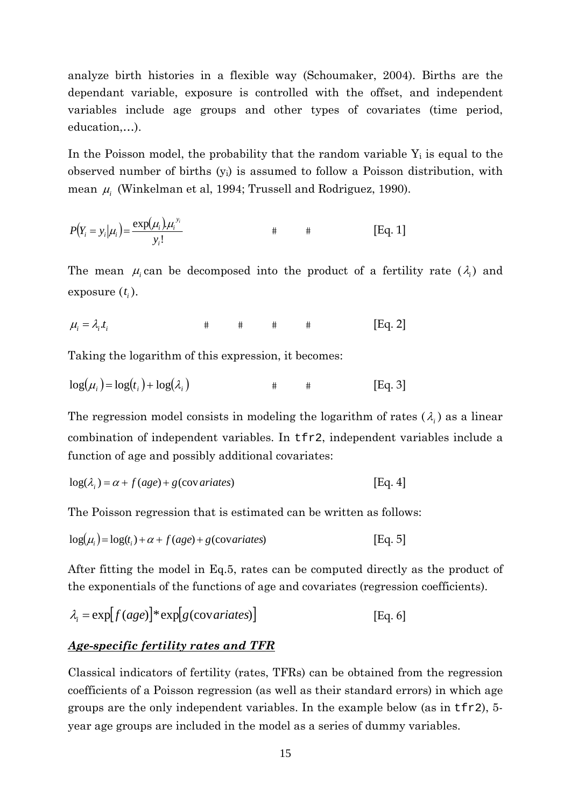analyze birth histories in a flexible way (Schoumaker, 2004). Births are the dependant variable, exposure is controlled with the offset, and independent variables include age groups and other types of covariates (time period, education,…).

In the Poisson model, the probability that the random variable  $Y_i$  is equal to the observed number of births (yi) is assumed to follow a Poisson distribution, with mean <sup>μ</sup>*i* (Winkelman et al, 1994; Trussell and Rodriguez, 1990).

$$
P(Y_i = y_i | \mu_i) = \frac{\exp(\mu_i) \mu_i^{y_i}}{y_i!} \qquad \qquad \text{#} \qquad \text{#} \qquad \text{[Eq. 1]}
$$

The mean  $\mu_i$  can be decomposed into the product of a fertility rate  $(\lambda_i)$  and exposure  $(t_i)$ .

$$
\mu_i = \lambda_i t_i \qquad \qquad \text{#} \qquad \text{#} \qquad \text{#} \qquad \text{[Eq. 2]}
$$

Taking the logarithm of this expression, it becomes:

$$
\log(\mu_i) = \log(t_i) + \log(\lambda_i) \qquad \qquad \text{#} \qquad \text{[Eq. 3]}
$$

The regression model consists in modeling the logarithm of rates  $(\lambda_i)$  as a linear combination of independent variables. In tfr2, independent variables include a function of age and possibly additional covariates:

$$
log(\lambda_i) = \alpha + f(age) + g(cov\text{ }ariates)
$$
 [Eq. 4]

The Poisson regression that is estimated can be written as follows:

$$
log(\mu_i) = log(t_i) + \alpha + f(age) + g(covariates)
$$
 [Eq. 5]

After fitting the model in Eq.5, rates can be computed directly as the product of the exponentials of the functions of age and covariates (regression coefficients).

$$
\lambda_i = \exp[f(age)]^* \exp[g(covariates)] \qquad [Eq. 6]
$$

#### *Age-specific fertility rates and TFR*

Classical indicators of fertility (rates, TFRs) can be obtained from the regression coefficients of a Poisson regression (as well as their standard errors) in which age groups are the only independent variables. In the example below (as in  $tfr2$ ), 5year age groups are included in the model as a series of dummy variables.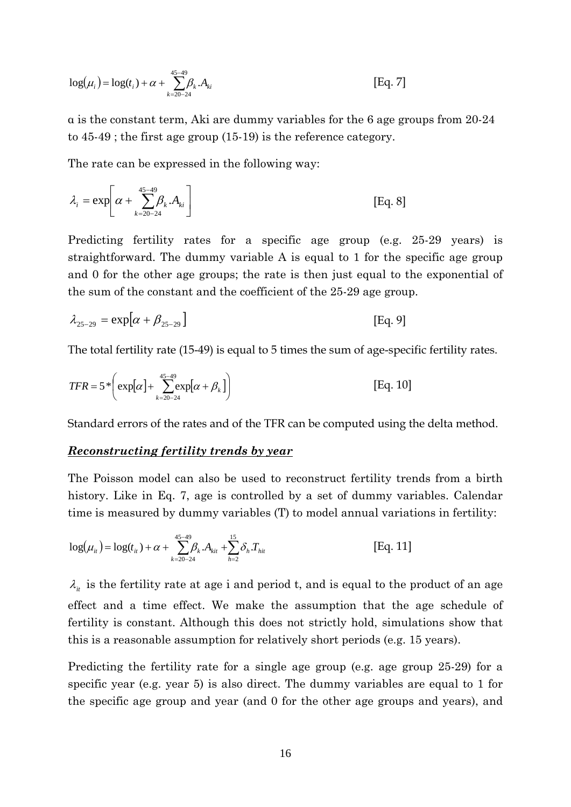$$
\log(\mu_i) = \log(t_i) + \alpha + \sum_{k=20-24}^{45-49} \beta_k A_{ki}
$$
 [Eq. 7]

α is the constant term, Aki are dummy variables for the 6 age groups from 20-24 to 45-49 ; the first age group (15-19) is the reference category.

The rate can be expressed in the following way:

$$
\lambda_i = \exp\left[\alpha + \sum_{k=20-24}^{45-49} \beta_k \cdot A_{ki}\right]
$$
 [Eq. 8]

Predicting fertility rates for a specific age group (e.g. 25-29 years) is straightforward. The dummy variable A is equal to 1 for the specific age group and 0 for the other age groups; the rate is then just equal to the exponential of the sum of the constant and the coefficient of the 25-29 age group.

$$
\lambda_{25-29} = \exp[\alpha + \beta_{25-29}] \tag{Eq. 9}
$$

The total fertility rate (15-49) is equal to 5 times the sum of age-specific fertility rates.

$$
TFR = 5 * \left( \exp[\alpha] + \sum_{k=20-24}^{45-49} \exp[\alpha + \beta_k] \right)
$$
 [Eq. 10]

Standard errors of the rates and of the TFR can be computed using the delta method.

#### *Reconstructing fertility trends by year*

The Poisson model can also be used to reconstruct fertility trends from a birth history. Like in Eq. 7, age is controlled by a set of dummy variables. Calendar time is measured by dummy variables (T) to model annual variations in fertility:

$$
\log(\mu_{ii}) = \log(t_{ii}) + \alpha + \sum_{k=20-24}^{45-49} \beta_k \cdot A_{ki} + \sum_{h=2}^{15} \delta_h T_{hi}
$$
 [Eq. 11]

 $\lambda_{it}$  is the fertility rate at age i and period t, and is equal to the product of an age effect and a time effect. We make the assumption that the age schedule of fertility is constant. Although this does not strictly hold, simulations show that this is a reasonable assumption for relatively short periods (e.g. 15 years).

Predicting the fertility rate for a single age group (e.g. age group 25-29) for a specific year (e.g. year 5) is also direct. The dummy variables are equal to 1 for the specific age group and year (and 0 for the other age groups and years), and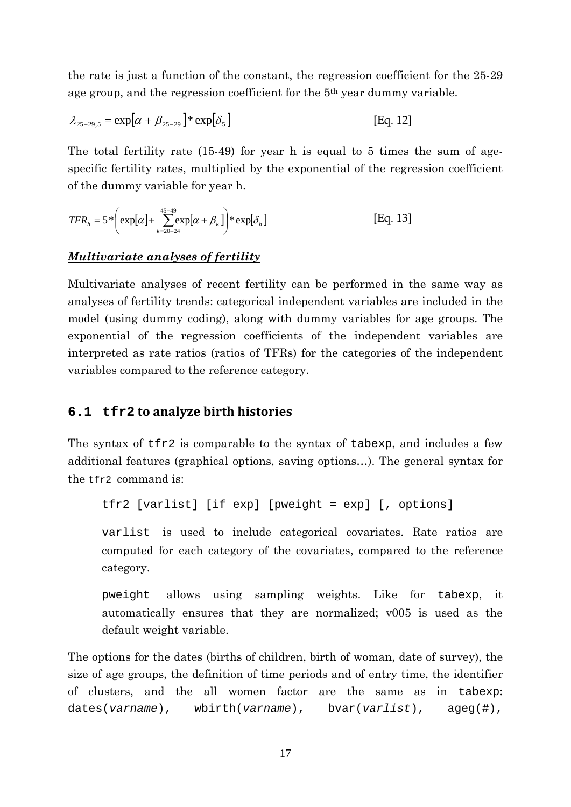the rate is just a function of the constant, the regression coefficient for the 25-29 age group, and the regression coefficient for the 5th year dummy variable.

$$
\lambda_{25-29,5} = \exp[\alpha + \beta_{25-29}]^* \exp[\delta_5]
$$
 [Eq. 12]

The total fertility rate (15-49) for year h is equal to 5 times the sum of agespecific fertility rates, multiplied by the exponential of the regression coefficient of the dummy variable for year h.

$$
TFR_h = 5 \ast \left( \exp[\alpha] + \sum_{k=20-24}^{45-49} \exp[\alpha + \beta_k] \right) \ast \exp[\delta_h]
$$
 [Eq. 13]

#### *Multivariate analyses of fertility*

Multivariate analyses of recent fertility can be performed in the same way as analyses of fertility trends: categorical independent variables are included in the model (using dummy coding), along with dummy variables for age groups. The exponential of the regression coefficients of the independent variables are interpreted as rate ratios (ratios of TFRs) for the categories of the independent variables compared to the reference category.

#### **6.1 tfr2 to analyze birth histories**

The syntax of tfr2 is comparable to the syntax of tabexp, and includes a few additional features (graphical options, saving options…). The general syntax for the tfr2 command is:

tfr2 [varlist] [if exp] [pweight = exp] [, options]

varlist is used to include categorical covariates. Rate ratios are computed for each category of the covariates, compared to the reference category.

pweight allows using sampling weights. Like for tabexp, it automatically ensures that they are normalized; v005 is used as the default weight variable.

The options for the dates (births of children, birth of woman, date of survey), the size of age groups, the definition of time periods and of entry time, the identifier of clusters, and the all women factor are the same as in tabexp: dates(*varname*), wbirth(*varname*), bvar(*varlist*), ageg(#),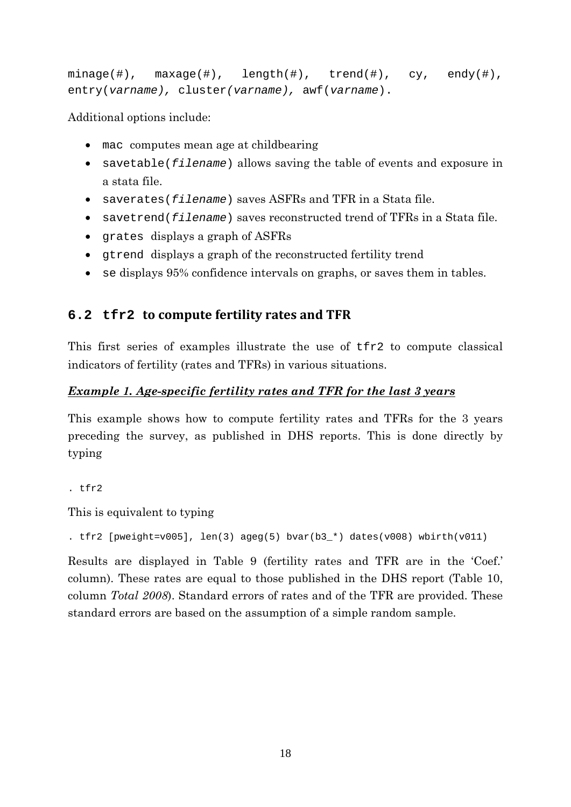```
minage(\#), maxage(\#), length(\#), trueand(\#), cy, endy(\#),entry(varname), cluster(varname), awf(varname).
```
Additional options include:

- mac computes mean age at childbearing
- savetable(*filename*) allows saving the table of events and exposure in a stata file.
- saverates(*filename*) saves ASFRs and TFR in a Stata file.
- savetrend(*filename*) saves reconstructed trend of TFRs in a Stata file.
- grates displays a graph of ASFRs
- gtrend displays a graph of the reconstructed fertility trend
- se displays 95% confidence intervals on graphs, or saves them in tables.

## **6.2 tfr2 to compute fertility rates and TFR**

This first series of examples illustrate the use of tfr2 to compute classical indicators of fertility (rates and TFRs) in various situations.

### *Example 1. Age-specific fertility rates and TFR for the last 3 years*

This example shows how to compute fertility rates and TFRs for the 3 years preceding the survey, as published in DHS reports. This is done directly by typing

. tfr2

This is equivalent to typing

. tfr2 [pweight=v005], len(3) ageg(5) bvar(b3\_\*) dates(v008) wbirth(v011)

Results are displayed in Table 9 (fertility rates and TFR are in the 'Coef.' column). These rates are equal to those published in the DHS report (Table 10, column *Total 2008*). Standard errors of rates and of the TFR are provided. These standard errors are based on the assumption of a simple random sample.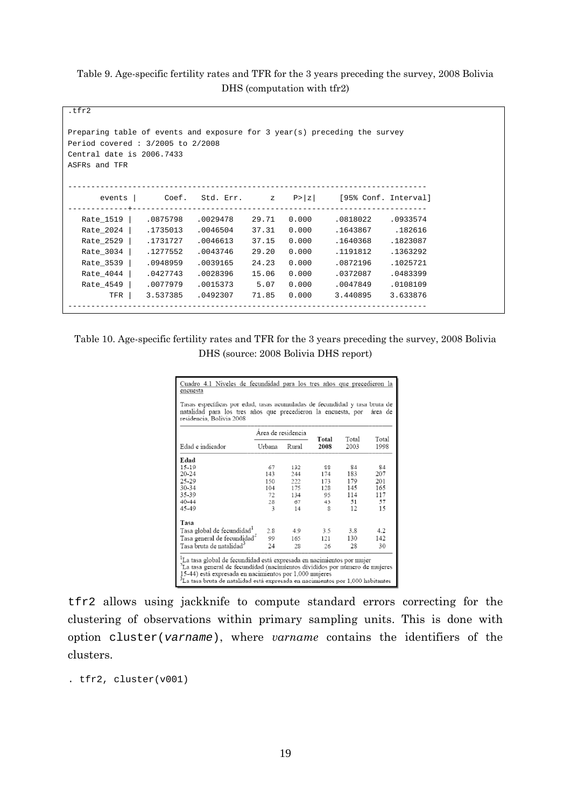#### Table 9. Age-specific fertility rates and TFR for the 3 years preceding the survey, 2008 Bolivia DHS (computation with tfr2)

| Preparing table of events and exposure for 3 year(s) preceding the survey<br>Period covered: 3/2005 to 2/2008<br>Central date is 2006.7433<br>ASFRs and TFR |          |                   |       |       |                                                        |          |
|-------------------------------------------------------------------------------------------------------------------------------------------------------------|----------|-------------------|-------|-------|--------------------------------------------------------|----------|
| events                                                                                                                                                      |          |                   |       |       | Coef. Std. Err. $z \quad P >  z $ [95% Conf. Interval] |          |
| Rate_1519                                                                                                                                                   |          | .0875798 .0029478 | 29.71 | 0.000 | .0818022                                               | .0933574 |
| Rate 2024                                                                                                                                                   | .1735013 | .0046504          | 37.31 | 0.000 | .1643867                                               | .182616  |
| Rate_2529                                                                                                                                                   | .1731727 | .0046613          | 37.15 | 0.000 | .1640368                                               | .1823087 |
| Rate_3034                                                                                                                                                   | .1277552 | .0043746          | 29.20 | 0.000 | .1191812                                               | .1363292 |
| Rate_3539                                                                                                                                                   | .0948959 | .0039165          | 24.23 | 0.000 | .0872196                                               | .1025721 |
| Rate_4044                                                                                                                                                   | .0427743 | .0028396          | 15.06 | 0.000 | .0372087                                               | .0483399 |
| Rate_4549                                                                                                                                                   | .0077979 | .0015373          | 5.07  | 0.000 | .0047849                                               | .0108109 |
| TFR                                                                                                                                                         | 3.537385 | .0492307          | 71.85 | 0.000 | 3.440895                                               | 3.633876 |

Table 10. Age-specific fertility rates and TFR for the 3 years preceding the survey, 2008 Bolivia DHS (source: 2008 Bolivia DHS report)

| Cuadro 4.1 Niveles de fecundidad para los tres años que precedieron la<br>encuesta                                                                                                                                                                                                            |                    |       |               |               |               |  |  |  |
|-----------------------------------------------------------------------------------------------------------------------------------------------------------------------------------------------------------------------------------------------------------------------------------------------|--------------------|-------|---------------|---------------|---------------|--|--|--|
| Tasas específicas por edad, tasas acumuladas de fecundidad y tasa bruta de<br>natalidad para los tres años que precedieron la encuesta, por<br>área de<br>residencia, Bolivia 2008                                                                                                            |                    |       |               |               |               |  |  |  |
|                                                                                                                                                                                                                                                                                               | Área de residencia |       |               |               |               |  |  |  |
| Edad e indicador                                                                                                                                                                                                                                                                              | Urbana             | Rural | Total<br>2008 | Total<br>2003 | Total<br>1998 |  |  |  |
| Edad                                                                                                                                                                                                                                                                                          |                    |       |               |               |               |  |  |  |
| 15-19                                                                                                                                                                                                                                                                                         | 67                 | 132   | 88            | 84            | 84            |  |  |  |
| $20 - 24$                                                                                                                                                                                                                                                                                     | 143                | 244   | 174           | 183           | 207           |  |  |  |
| 25-29                                                                                                                                                                                                                                                                                         | 150                | 222   | 173           | 179           | 201           |  |  |  |
| 30-34                                                                                                                                                                                                                                                                                         | 104                | 175   | 128           | 145           | 165           |  |  |  |
| 35-39                                                                                                                                                                                                                                                                                         | 72                 | 134   | 95            | 114           | 117           |  |  |  |
| $40 - 44$                                                                                                                                                                                                                                                                                     | 28                 | 67    | 43            | 51            | 57            |  |  |  |
| 45-49                                                                                                                                                                                                                                                                                         | $\overline{3}$     | 14    | $\mathbf{g}$  | 12            | 15            |  |  |  |
| Tasa                                                                                                                                                                                                                                                                                          |                    |       |               |               |               |  |  |  |
| Tasa global de fecundidad <sup>1</sup>                                                                                                                                                                                                                                                        | 2.8                | 49    | 3.5           | 3.8           | 4.2           |  |  |  |
| Tasa general de fecundidad <sup>4</sup>                                                                                                                                                                                                                                                       | 99                 | 165   | 121           | 130           | 142           |  |  |  |
| Tasa bruta de natalidad <sup>3</sup>                                                                                                                                                                                                                                                          | 24                 | 28    | 26            | 28            | 30            |  |  |  |
| La tasa global de fecundidad está expresada en nacimientos por mujer<br>La tasa general de fecundidad (nacimientos divididos por número de mujeres<br>15-44) está expresada en nacimientos por 1,000 mujeres<br>La tasa bruta de natalidad está expresada en nacimientos por 1,000 habitantes |                    |       |               |               |               |  |  |  |

tfr2 allows using jackknife to compute standard errors correcting for the clustering of observations within primary sampling units. This is done with option cluster(*varname*), where *varname* contains the identifiers of the clusters.

. tfr2, cluster(v001)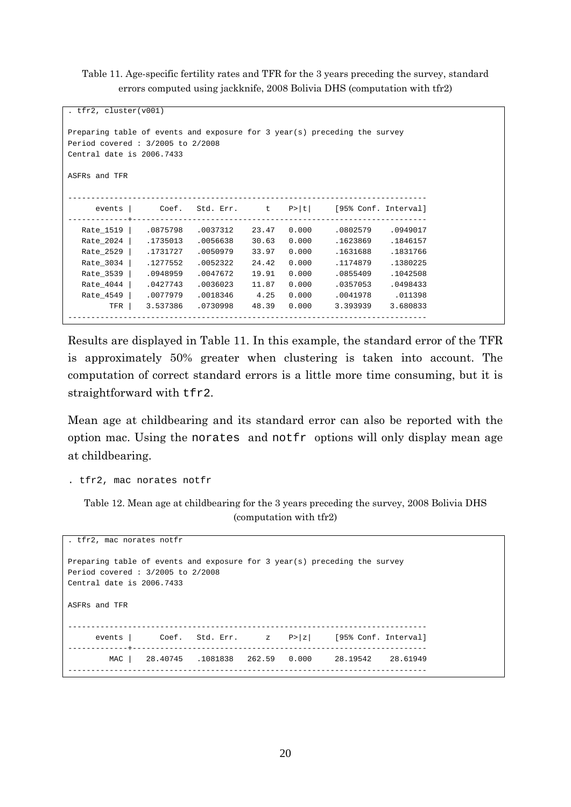Table 11. Age-specific fertility rates and TFR for the 3 years preceding the survey, standard errors computed using jackknife, 2008 Bolivia DHS (computation with tfr2)

```
. tfr2, cluster(v001) 
Preparing table of events and exposure for 3 year(s) preceding the survey 
Period covered : 3/2005 to 2/2008 
Central date is 2006.7433 
ASFRs and TFR 
------------------------------------------------------------------------------ 
     events | Coef. Std. Err. t P>|t| [95% Conf. Interval]
  -------------+---------------------------------------------------------------- 
   Rate_1519 | .0875798 .0037312 23.47 0.000 .0802579 .0949017 
   Rate_2024 | .1735013 .0056638 30.63 0.000 .1623869 .1846157 
   Rate_2529 | .1731727 .0050979 33.97 0.000 .1631688 .1831766 
   Rate_3034 | .1277552 .0052322 24.42 0.000 .1174879 .1380225 
   Rate_3539 | .0948959 .0047672 19.91 0.000 .0855409 .1042508 
  Rate_4044 | .0427743 .0036023 11.87 0.000 .0357053 .0498433
   Rate_4549 | .0077979 .0018346 4.25 0.000 .0041978 .011398 
        TFR | 3.537386 .0730998 48.39 0.000 3.393939 3.680833 
   ------------------------------------------------------------------------------
```
Results are displayed in Table 11. In this example, the standard error of the TFR is approximately 50% greater when clustering is taken into account. The computation of correct standard errors is a little more time consuming, but it is straightforward with tfr2.

Mean age at childbearing and its standard error can also be reported with the option mac. Using the norates and notfr options will only display mean age at childbearing.

```
. tfr2, mac norates notfr
```
Table 12. Mean age at childbearing for the 3 years preceding the survey, 2008 Bolivia DHS (computation with tfr2)

| . tfr2, mac norates notfr                                                                                                                  |  |  |  |  |                                                                            |  |  |  |
|--------------------------------------------------------------------------------------------------------------------------------------------|--|--|--|--|----------------------------------------------------------------------------|--|--|--|
| Preparing table of events and exposure for 3 year(s) preceding the survey<br>Period covered: 3/2005 to 2/2008<br>Central date is 2006.7433 |  |  |  |  |                                                                            |  |  |  |
| ASFRs and TFR                                                                                                                              |  |  |  |  |                                                                            |  |  |  |
|                                                                                                                                            |  |  |  |  | events $\vert$ Coef. Std. Err. $\vert$ z P> $\vert$ z [95% Conf. Interval] |  |  |  |
|                                                                                                                                            |  |  |  |  | MAC 28.40745 .1081838 262.59 0.000 28.19542 28.61949                       |  |  |  |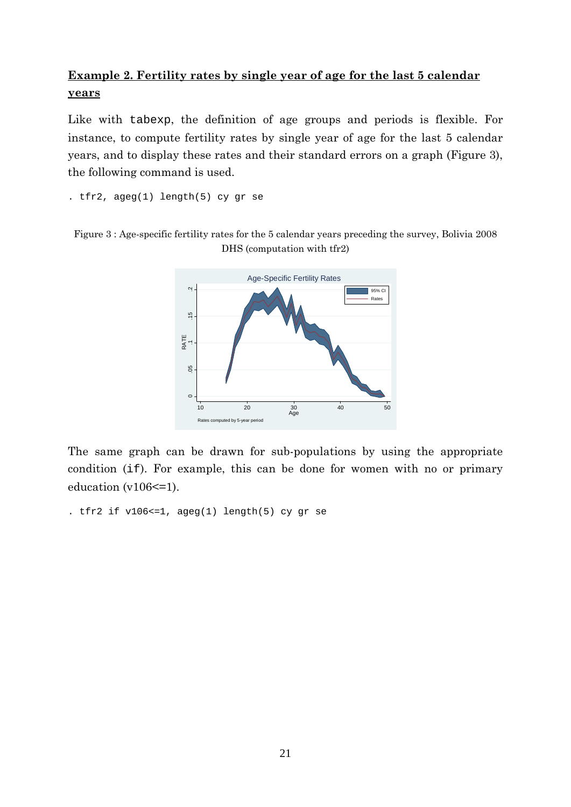# **Example 2. Fertility rates by single year of age for the last 5 calendar years**

Like with tabexp, the definition of age groups and periods is flexible. For instance, to compute fertility rates by single year of age for the last 5 calendar years, and to display these rates and their standard errors on a graph (Figure 3), the following command is used.

. tfr2, ageg(1) length(5) cy gr se





The same graph can be drawn for sub-populations by using the appropriate condition (if). For example, this can be done for women with no or primary education  $(v106 \leq 1)$ .

```
. tfr2 if v106<=1, ageg(1) length(5) cy gr se
```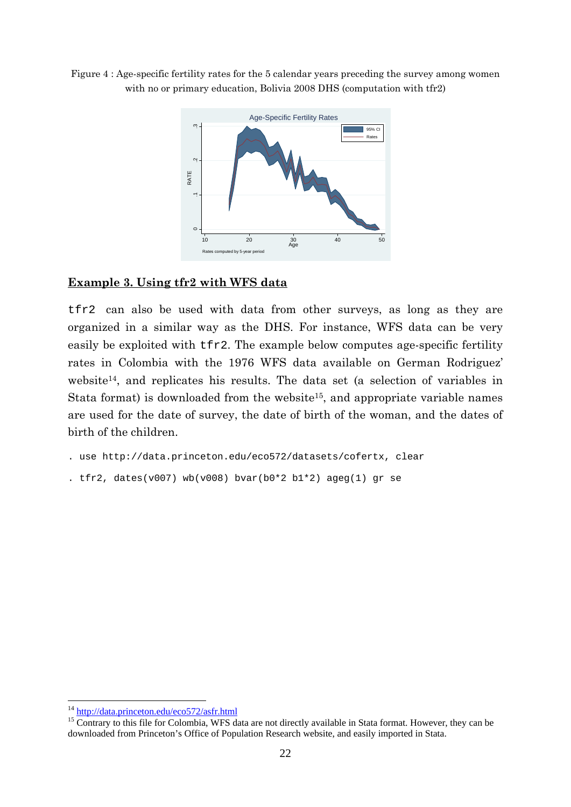Figure 4 : Age-specific fertility rates for the 5 calendar years preceding the survey among women with no or primary education, Bolivia 2008 DHS (computation with tfr2)



### **Example 3. Using tfr2 with WFS data**

tfr2 can also be used with data from other surveys, as long as they are organized in a similar way as the DHS. For instance, WFS data can be very easily be exploited with tfr2. The example below computes age-specific fertility rates in Colombia with the 1976 WFS data available on German Rodriguez' website14, and replicates his results. The data set (a selection of variables in Stata format) is downloaded from the website<sup>15</sup>, and appropriate variable names are used for the date of survey, the date of birth of the woman, and the dates of birth of the children.

```
. use http://data.princeton.edu/eco572/datasets/cofertx, clear
```

```
. tfr2, dates(v007) wb(v008) bvar(b0*2 b1*2) ageg(1) gr se
```
 $14 \frac{\text{http://data.princeton.edu/eco572/asfr.html}}{15}$  Contrary to this file for Colombia, WFS data are not directly available in Stata format. However, they can be downloaded from Princeton's Office of Population Research website, and easily imported in Stata.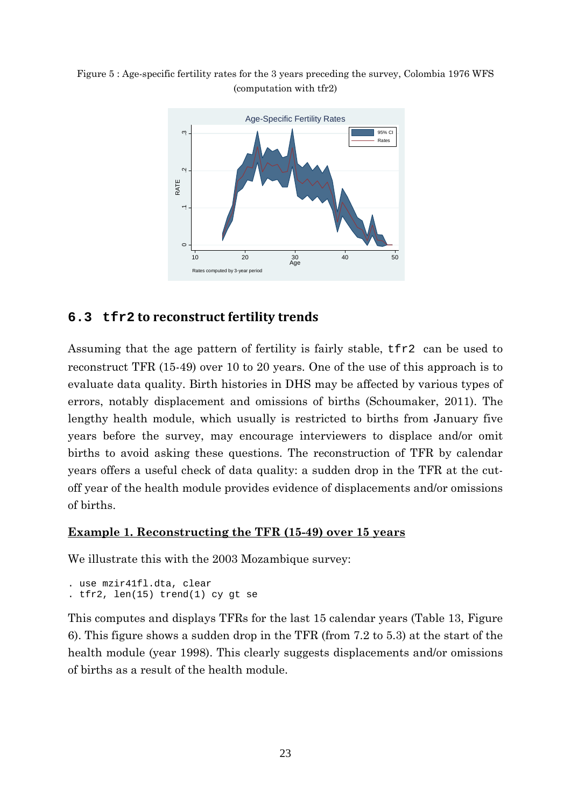Figure 5 : Age-specific fertility rates for the 3 years preceding the survey, Colombia 1976 WFS (computation with tfr2)



## **6.3 tfr2 to reconstruct fertility trends**

Assuming that the age pattern of fertility is fairly stable, tfr2 can be used to reconstruct TFR (15-49) over 10 to 20 years. One of the use of this approach is to evaluate data quality. Birth histories in DHS may be affected by various types of errors, notably displacement and omissions of births (Schoumaker, 2011). The lengthy health module, which usually is restricted to births from January five years before the survey, may encourage interviewers to displace and/or omit births to avoid asking these questions. The reconstruction of TFR by calendar years offers a useful check of data quality: a sudden drop in the TFR at the cutoff year of the health module provides evidence of displacements and/or omissions of births.

## **Example 1. Reconstructing the TFR (15-49) over 15 years**

We illustrate this with the 2003 Mozambique survey:

```
. use mzir41fl.dta, clear 
. tfr2, len(15) trend(1) cy gt se
```
This computes and displays TFRs for the last 15 calendar years (Table 13, Figure 6). This figure shows a sudden drop in the TFR (from 7.2 to 5.3) at the start of the health module (year 1998). This clearly suggests displacements and/or omissions of births as a result of the health module.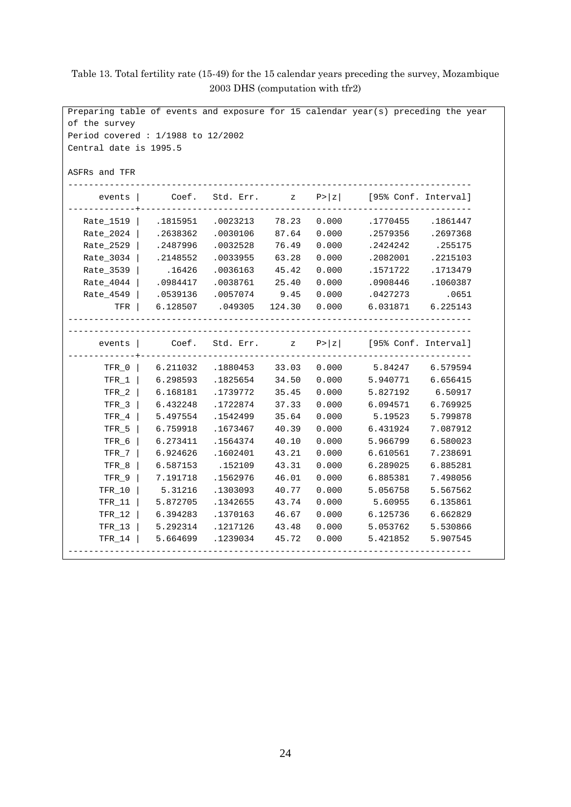| Preparing table of events and exposure for 15 calendar year(s) preceding the year |          |                      |              |        |                                |          |  |  |  |
|-----------------------------------------------------------------------------------|----------|----------------------|--------------|--------|--------------------------------|----------|--|--|--|
| of the survey                                                                     |          |                      |              |        |                                |          |  |  |  |
| Period covered: $1/1988$ to $12/2002$                                             |          |                      |              |        |                                |          |  |  |  |
| Central date is 1995.5                                                            |          |                      |              |        |                                |          |  |  |  |
|                                                                                   |          |                      |              |        |                                |          |  |  |  |
| ASFRs and TFR                                                                     |          |                      |              |        |                                |          |  |  |  |
|                                                                                   |          |                      |              |        |                                |          |  |  |  |
| events                                                                            | Coef.    | Std. Err.            | $\mathbf{z}$ | P >  z | [95% Conf. Interval]           |          |  |  |  |
|                                                                                   |          |                      |              |        |                                |          |  |  |  |
| $Rate_1519$                                                                       | .1815951 | .0023213             | 78.23        | 0.000  | .1770455                       | .1861447 |  |  |  |
| Rate 2024                                                                         | .2638362 | .0030106             | 87.64        | 0.000  | .2579356                       | .2697368 |  |  |  |
| Rate_2529                                                                         | .2487996 | .0032528             | 76.49        | 0.000  | .2424242                       | .255175  |  |  |  |
| Rate_3034                                                                         | .2148552 | .0033955             | 63.28        | 0.000  | .2082001                       | .2215103 |  |  |  |
| Rate_3539                                                                         | .16426   | .0036163             | 45.42        | 0.000  | .1571722                       | .1713479 |  |  |  |
| Rate 4044                                                                         | .0984417 | .0038761             | 25.40        | 0.000  | .0908446                       | .1060387 |  |  |  |
| Rate 4549                                                                         | .0539136 | .0057074             | 9.45         | 0.000  | .0427273                       | .0651    |  |  |  |
| TFR                                                                               | 6.128507 | .049305 124.30 0.000 |              |        | 6.031871 6.225143              |          |  |  |  |
|                                                                                   |          |                      |              |        |                                |          |  |  |  |
| events                                                                            | Coef.    | Std. Err.            | $\mathbf{z}$ |        | $P >  z $ [95% Conf. Interval] |          |  |  |  |
| $TFR_0$                                                                           | 6.211032 | .1880453 33.03 0.000 |              |        | 5.84247 6.579594               |          |  |  |  |
| $TFR_1$                                                                           | 6.298593 | .1825654             | 34.50        | 0.000  | 5.940771                       | 6.656415 |  |  |  |
| $TFR_2$                                                                           | 6.168181 | .1739772             | 35.45        | 0.000  | 5.827192                       | 6.50917  |  |  |  |
| $TFR_3$                                                                           | 6.432248 | .1722874             | 37.33        | 0.000  | 6.094571                       | 6.769925 |  |  |  |
| $TFR_4$                                                                           | 5.497554 | .1542499             | 35.64        | 0.000  | 5.19523                        | 5.799878 |  |  |  |
| $TFR_5$                                                                           | 6.759918 | .1673467             | 40.39        | 0.000  | 6.431924                       | 7.087912 |  |  |  |
| $TFR_6$                                                                           | 6.273411 | .1564374             | 40.10        | 0.000  | 5.966799                       | 6.580023 |  |  |  |
| $TFR_7$                                                                           | 6.924626 | .1602401             | 43.21        | 0.000  | 6.610561                       | 7.238691 |  |  |  |
| $TFR_8$                                                                           | 6.587153 | .152109              | 43.31        | 0.000  | 6.289025                       | 6.885281 |  |  |  |
| $TFR_9$                                                                           | 7.191718 | .1562976             | 46.01        | 0.000  | 6.885381                       | 7.498056 |  |  |  |
| TFR_10                                                                            | 5.31216  | .1303093             | 40.77        | 0.000  | 5.056758                       | 5.567562 |  |  |  |
| $TFR_11$                                                                          | 5.872705 | .1342655             | 43.74        | 0.000  | 5.60955                        | 6.135861 |  |  |  |
| $TFR_12$                                                                          | 6.394283 | .1370163             | 46.67        | 0.000  | 6.125736                       | 6.662829 |  |  |  |
| TFR_13                                                                            | 5.292314 | .1217126             | 43.48        | 0.000  | 5.053762                       | 5.530866 |  |  |  |
| TFR 14                                                                            | 5.664699 | .1239034             | 45.72        | 0.000  | 5.421852                       | 5.907545 |  |  |  |
|                                                                                   |          |                      |              |        |                                |          |  |  |  |

### Table 13. Total fertility rate (15-49) for the 15 calendar years preceding the survey, Mozambique 2003 DHS (computation with tfr2)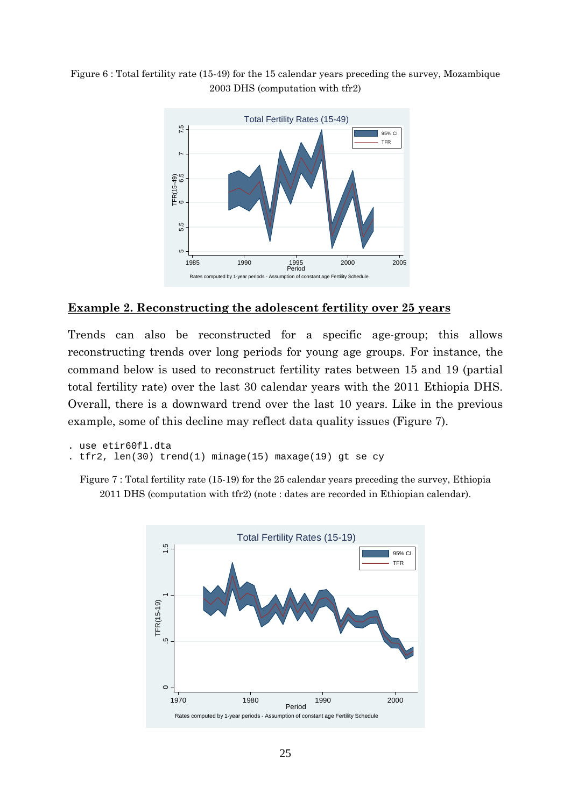Figure 6 : Total fertility rate (15-49) for the 15 calendar years preceding the survey, Mozambique 2003 DHS (computation with tfr2)



#### **Example 2. Reconstructing the adolescent fertility over 25 years**

Trends can also be reconstructed for a specific age-group; this allows reconstructing trends over long periods for young age groups. For instance, the command below is used to reconstruct fertility rates between 15 and 19 (partial total fertility rate) over the last 30 calendar years with the 2011 Ethiopia DHS. Overall, there is a downward trend over the last 10 years. Like in the previous example, some of this decline may reflect data quality issues (Figure 7).

```
. use etir60fl.dta 
. tfr2, len(30) trend(1) minage(15) maxage(19) gt se cy
```
Figure 7 : Total fertility rate (15-19) for the 25 calendar years preceding the survey, Ethiopia 2011 DHS (computation with tfr2) (note : dates are recorded in Ethiopian calendar).

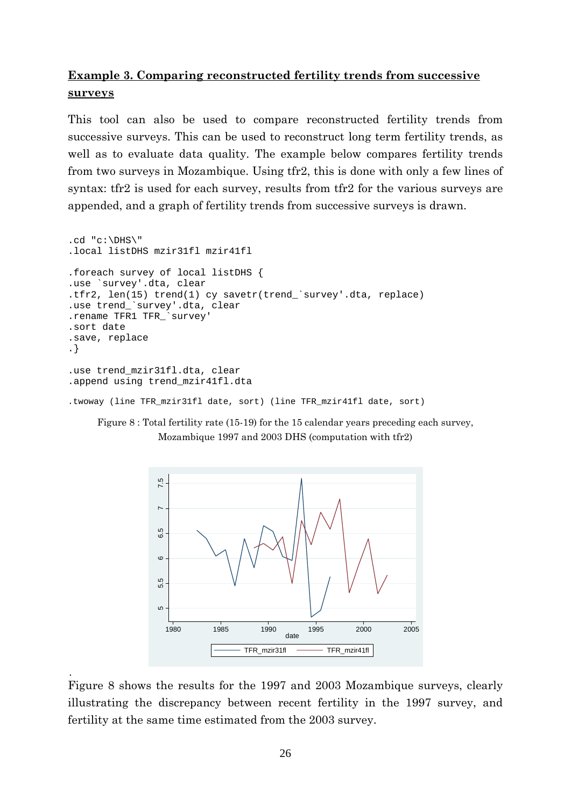# **Example 3. Comparing reconstructed fertility trends from successive surveys**

This tool can also be used to compare reconstructed fertility trends from successive surveys. This can be used to reconstruct long term fertility trends, as well as to evaluate data quality. The example below compares fertility trends from two surveys in Mozambique. Using tfr2, this is done with only a few lines of syntax: tfr2 is used for each survey, results from tfr2 for the various surveys are appended, and a graph of fertility trends from successive surveys is drawn.

```
.cd "c:\DHS\"
.local listDHS mzir31fl mzir41fl 
.foreach survey of local listDHS { 
.use `survey'.dta, clear 
.tfr2, len(15) trend(1) cy savetr(trend_`survey'.dta, replace) 
.use trend_`survey'.dta, clear 
.rename TFR1 TFR_`survey' 
.sort date 
.save, replace 
.} 
.use trend_mzir31fl.dta, clear 
.append using trend_mzir41fl.dta
```

```
.twoway (line TFR_mzir31fl date, sort) (line TFR_mzir41fl date, sort)
```




. Figure 8 shows the results for the 1997 and 2003 Mozambique surveys, clearly illustrating the discrepancy between recent fertility in the 1997 survey, and fertility at the same time estimated from the 2003 survey.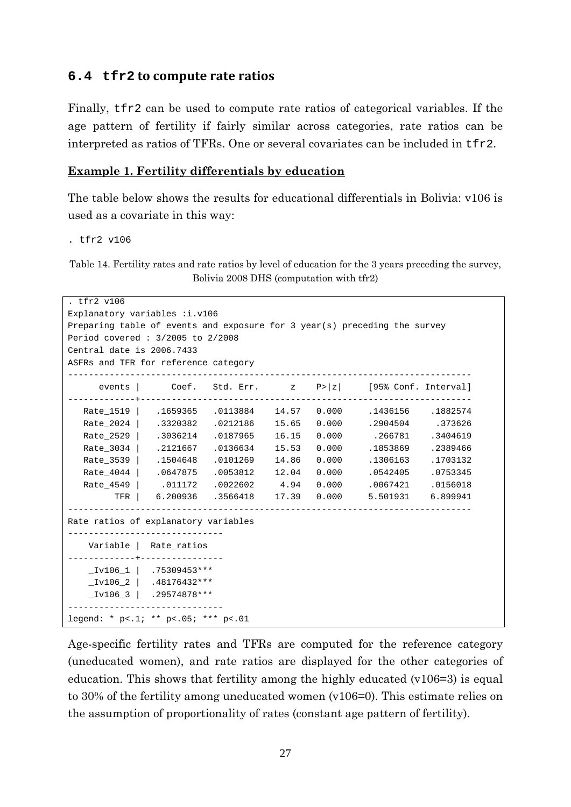#### **6.4 tfr2 to compute rate ratios**

Finally, tfr2 can be used to compute rate ratios of categorical variables. If the age pattern of fertility if fairly similar across categories, rate ratios can be interpreted as ratios of TFRs. One or several covariates can be included in tfr2.

#### **Example 1. Fertility differentials by education**

The table below shows the results for educational differentials in Bolivia: v106 is used as a covariate in this way:

. tfr2 v106

Table 14. Fertility rates and rate ratios by level of education for the 3 years preceding the survey, Bolivia 2008 DHS (computation with tfr2)

```
. tfr2 v106 
Explanatory variables : i.v106
Preparing table of events and exposure for 3 year(s) preceding the survey 
Period covered : 3/2005 to 2/2008 
Central date is 2006.7433 
ASFRs and TFR for reference category 
  ------------------------------------------------------------------------------ 
      events | Coef. Std. Err. z P>|z| [95% Conf. Interval] 
-------------+---------------------------------------------------------------- 
   Rate_1519 | .1659365 .0113884 14.57 0.000 .1436156 .1882574 
   Rate_2024 | .3320382 .0212186 15.65 0.000 .2904504 .373626 
   Rate_2529 | .3036214 .0187965 16.15 0.000 .266781 .3404619 
  Rate_3034 | .2121667 .0136634 15.53 0.000 .1853869 .2389466
   Rate_3539 | .1504648 .0101269 14.86 0.000 .1306163 .1703132 
   Rate_4044 | .0647875 .0053812 12.04 0.000 .0542405 .0753345 
   Rate_4549 | .011172 .0022602 4.94 0.000 .0067421 .0156018 
         TFR | 6.200936 .3566418 17.39 0.000 5.501931 6.899941 
      ------------------------------------------------------------------------------ 
Rate ratios of explanatory variables 
------------------------------ 
    Variable | Rate_ratios 
-------------+---------------- 
   Iv106_1 .75309453***
    _Iv106_2 | .48176432*** 
    _Iv106_3 | .29574878*** 
------------------------------ 
legend: * p<.1; ** p<.05; *** p<.01
```
Age-specific fertility rates and TFRs are computed for the reference category (uneducated women), and rate ratios are displayed for the other categories of education. This shows that fertility among the highly educated (v106=3) is equal to 30% of the fertility among uneducated women (v106=0). This estimate relies on the assumption of proportionality of rates (constant age pattern of fertility).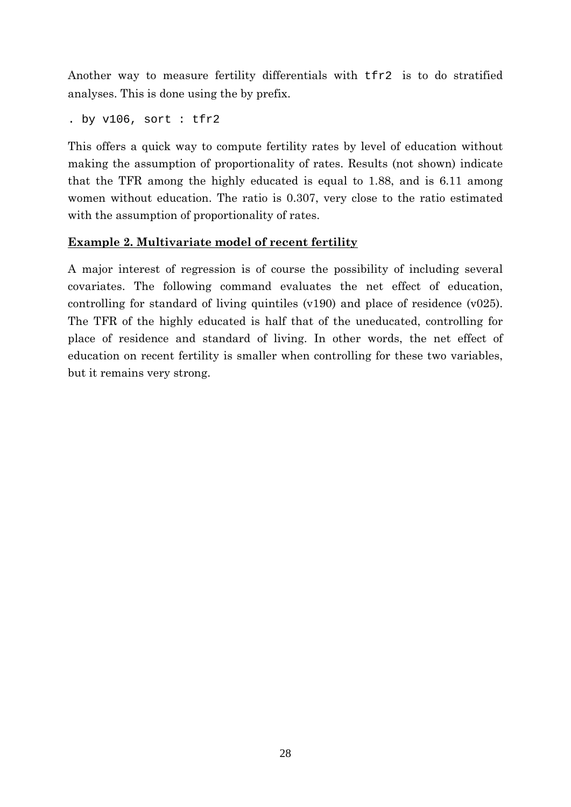Another way to measure fertility differentials with tfr2 is to do stratified analyses. This is done using the by prefix.

. by v106, sort : tfr2

This offers a quick way to compute fertility rates by level of education without making the assumption of proportionality of rates. Results (not shown) indicate that the TFR among the highly educated is equal to 1.88, and is 6.11 among women without education. The ratio is 0.307, very close to the ratio estimated with the assumption of proportionality of rates.

## **Example 2. Multivariate model of recent fertility**

A major interest of regression is of course the possibility of including several covariates. The following command evaluates the net effect of education, controlling for standard of living quintiles (v190) and place of residence (v025). The TFR of the highly educated is half that of the uneducated, controlling for place of residence and standard of living. In other words, the net effect of education on recent fertility is smaller when controlling for these two variables, but it remains very strong.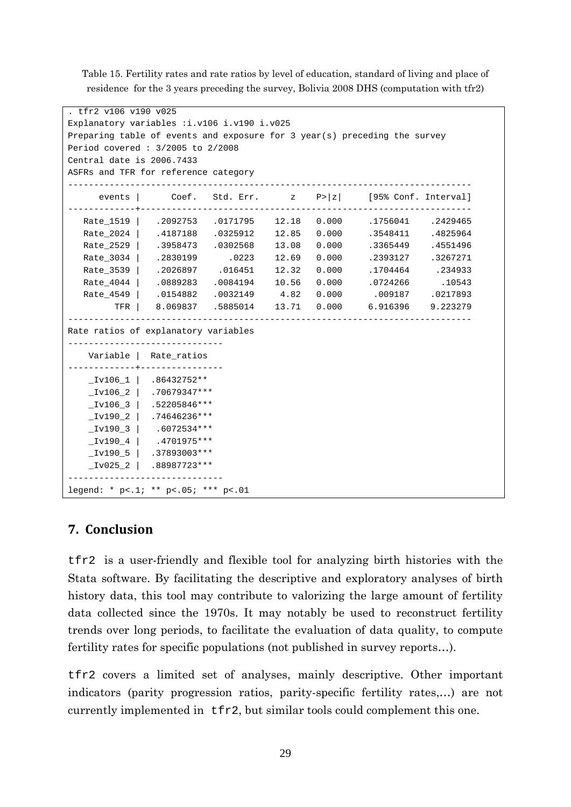Table 15. Fertility rates and rate ratios by level of education, standard of living and place of residence for the 3 years preceding the survey, Bolivia 2008 DHS (computation with tfr2)

| . tfr2 v106 v190 v025                                                     |                                                                                       |  |                                                                   |        |
|---------------------------------------------------------------------------|---------------------------------------------------------------------------------------|--|-------------------------------------------------------------------|--------|
| Explanatory variables : i.v106 i.v190 i.v025                              |                                                                                       |  |                                                                   |        |
| Preparing table of events and exposure for 3 year(s) preceding the survey |                                                                                       |  |                                                                   |        |
| Period covered: $3/2005$ to $2/2008$                                      |                                                                                       |  |                                                                   |        |
| Central date is 2006.7433                                                 |                                                                                       |  |                                                                   |        |
| ASFRs and TFR for reference category                                      |                                                                                       |  |                                                                   |        |
|                                                                           |                                                                                       |  |                                                                   |        |
|                                                                           |                                                                                       |  | events   Coef. Std. Err. $z$ P>  z  [95% Conf. Interval]          |        |
| ---------+                                                                |                                                                                       |  |                                                                   |        |
|                                                                           |                                                                                       |  | Rate_1519   .2092753 .0171795 12.18 0.000 .1756041 .2429465       |        |
|                                                                           |                                                                                       |  | Rate 2024   .4187188 .0325912 12.85 0.000 .3548411 .4825964       |        |
|                                                                           |                                                                                       |  | Rate_2529   .3958473 .0302568 13.08 0.000 .3365449 .4551496       |        |
|                                                                           |                                                                                       |  | Rate_3034   .2830199 .0223 12.69 0.000 .2393127 .3267271          |        |
|                                                                           |                                                                                       |  | Rate_3539   .2026897 .016451 12.32 0.000 .1704464 .234933         |        |
|                                                                           |                                                                                       |  | Rate_4044   .0889283 .0084194 10.56 0.000 .0724266                | .10543 |
|                                                                           |                                                                                       |  | Rate_4549   .0154882 .0032149   4.82   0.000   .009187   .0217893 |        |
| TFR                                                                       |                                                                                       |  | 8.069837 .5885014 13.71 0.000 6.916396 9.223279                   |        |
| Rate ratios of explanatory variables                                      |                                                                                       |  |                                                                   |        |
|                                                                           | ----------------------------<br>Variable   Rate_ratios<br>----------+---------------- |  |                                                                   |        |
|                                                                           | $_{\texttt{1v106}\_1}$ .86432752**                                                    |  |                                                                   |        |
|                                                                           | $_{\text{IV106}\_2}$   .70679347***                                                   |  |                                                                   |        |
|                                                                           | $TV106_3$ .52205846***                                                                |  |                                                                   |        |
|                                                                           | $_{\texttt{IV190\_2}}$   .74646236***                                                 |  |                                                                   |        |
|                                                                           | $_{\text{IV190\_3}}$ .6072534***                                                      |  |                                                                   |        |
|                                                                           | $_{\texttt{IV190\_4}}$   .4701975***                                                  |  |                                                                   |        |
|                                                                           | $TV190_5$ .37893003***                                                                |  |                                                                   |        |
|                                                                           | $_{1v025}$   .88987723***                                                             |  |                                                                   |        |
| legend: * p<.1; ** p<.05; *** p<.01                                       |                                                                                       |  |                                                                   |        |

### **7. Conclusion**

tfr2 is a user-friendly and flexible tool for analyzing birth histories with the Stata software. By facilitating the descriptive and exploratory analyses of birth history data, this tool may contribute to valorizing the large amount of fertility data collected since the 1970s. It may notably be used to reconstruct fertility trends over long periods, to facilitate the evaluation of data quality, to compute fertility rates for specific populations (not published in survey reports…).

tfr2 covers a limited set of analyses, mainly descriptive. Other important indicators (parity progression ratios, parity-specific fertility rates,…) are not currently implemented in tfr2, but similar tools could complement this one.